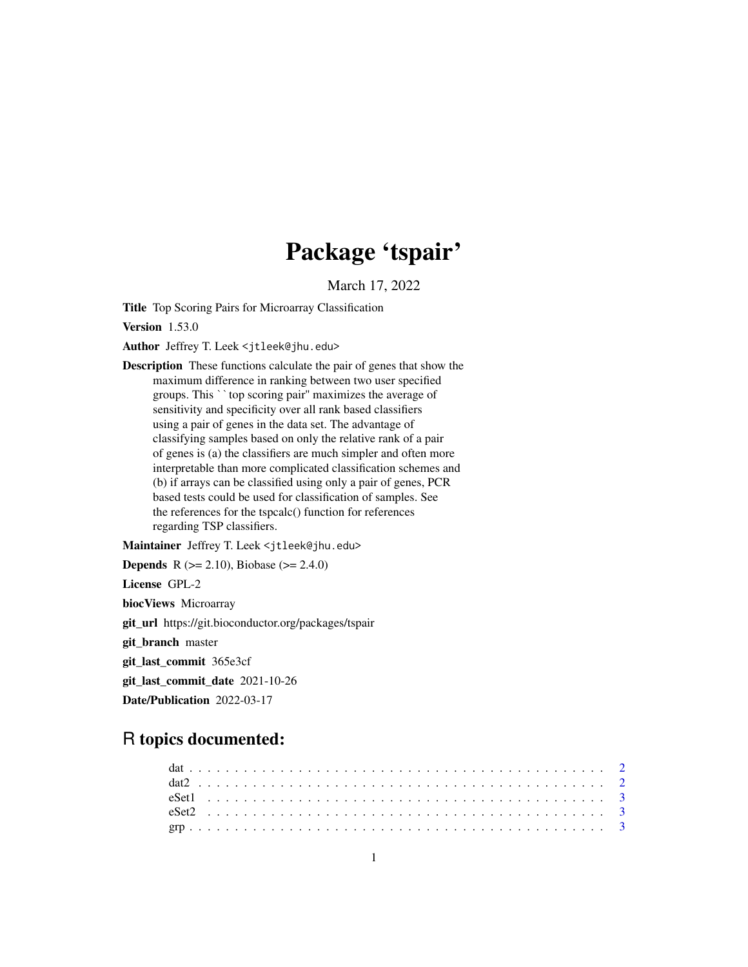## Package 'tspair'

March 17, 2022

Title Top Scoring Pairs for Microarray Classification

Version 1.53.0

Author Jeffrey T. Leek <jtleek@jhu.edu>

Description These functions calculate the pair of genes that show the maximum difference in ranking between two user specified groups. This ``top scoring pair'' maximizes the average of sensitivity and specificity over all rank based classifiers using a pair of genes in the data set. The advantage of classifying samples based on only the relative rank of a pair of genes is (a) the classifiers are much simpler and often more interpretable than more complicated classification schemes and (b) if arrays can be classified using only a pair of genes, PCR based tests could be used for classification of samples. See the references for the tspcalc() function for references regarding TSP classifiers.

Maintainer Jeffrey T. Leek <jtleek@jhu.edu>

**Depends** R ( $>= 2.10$ ), Biobase ( $>= 2.4.0$ )

License GPL-2

biocViews Microarray

git\_url https://git.bioconductor.org/packages/tspair

git\_branch master

git\_last\_commit 365e3cf

git\_last\_commit\_date 2021-10-26

Date/Publication 2022-03-17

### R topics documented: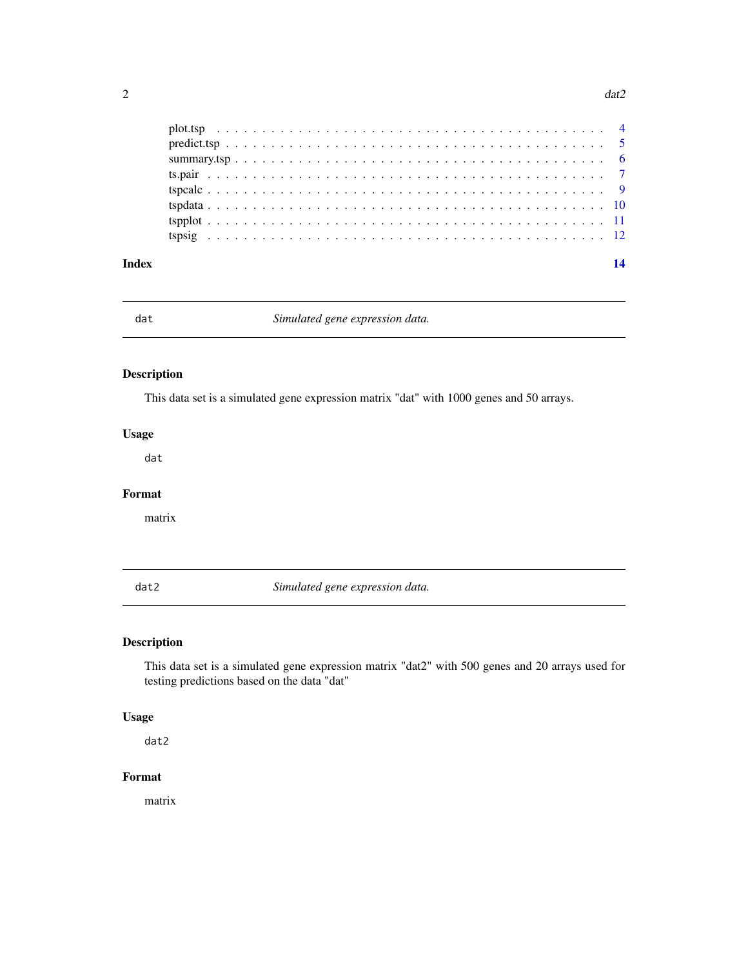<span id="page-1-0"></span>

| Index |  |  |  |  |  |  |  |  |  |  |  |  |  |  |  |  |  |  |  |  | 14 |
|-------|--|--|--|--|--|--|--|--|--|--|--|--|--|--|--|--|--|--|--|--|----|
|       |  |  |  |  |  |  |  |  |  |  |  |  |  |  |  |  |  |  |  |  |    |
|       |  |  |  |  |  |  |  |  |  |  |  |  |  |  |  |  |  |  |  |  |    |
|       |  |  |  |  |  |  |  |  |  |  |  |  |  |  |  |  |  |  |  |  |    |
|       |  |  |  |  |  |  |  |  |  |  |  |  |  |  |  |  |  |  |  |  |    |
|       |  |  |  |  |  |  |  |  |  |  |  |  |  |  |  |  |  |  |  |  |    |
|       |  |  |  |  |  |  |  |  |  |  |  |  |  |  |  |  |  |  |  |  |    |
|       |  |  |  |  |  |  |  |  |  |  |  |  |  |  |  |  |  |  |  |  |    |
|       |  |  |  |  |  |  |  |  |  |  |  |  |  |  |  |  |  |  |  |  |    |

dat *Simulated gene expression data.*

#### Description

This data set is a simulated gene expression matrix "dat" with 1000 genes and 50 arrays.

#### Usage

dat

#### Format

matrix

dat2 *Simulated gene expression data.*

#### Description

This data set is a simulated gene expression matrix "dat2" with 500 genes and 20 arrays used for testing predictions based on the data "dat"

#### Usage

dat2

#### Format

matrix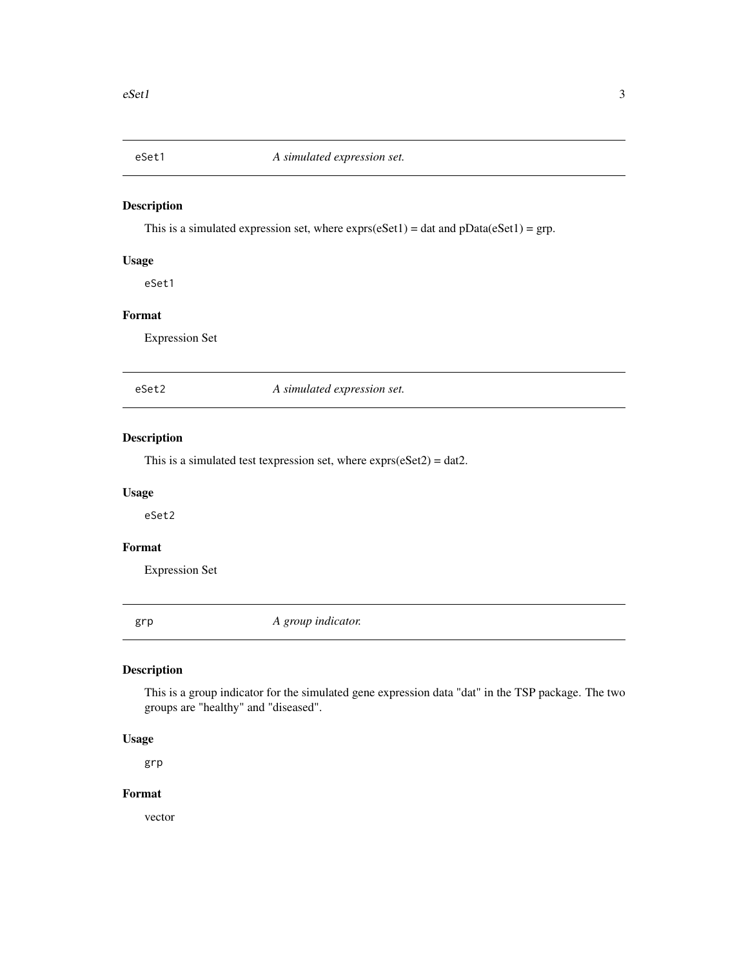<span id="page-2-0"></span>

This is a simulated expression set, where  $expressions(eset1) = data$  and  $pData(eset1) = grp$ .

#### Usage

eSet1

#### Format

Expression Set

eSet2 *A simulated expression set.*

#### Description

This is a simulated test texpression set, where  $\exp\left(\frac{1}{2}\right) = \text{dat2}$ .

#### Usage

eSet2

#### Format

Expression Set

grp *A group indicator.*

#### Description

This is a group indicator for the simulated gene expression data "dat" in the TSP package. The two groups are "healthy" and "diseased".

#### Usage

grp

#### Format

vector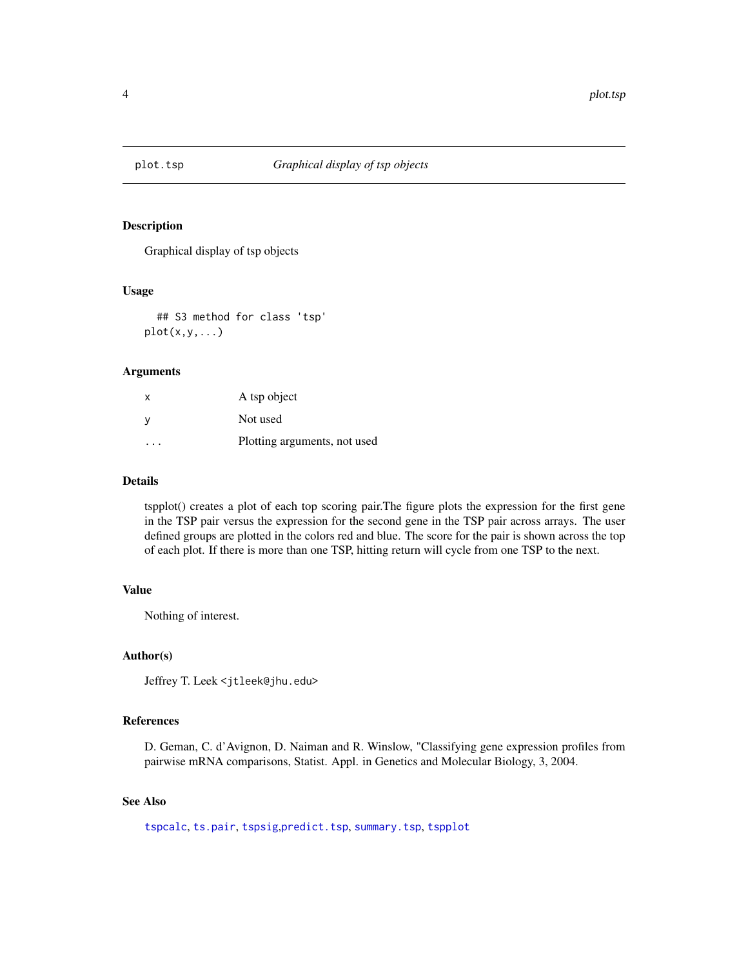<span id="page-3-0"></span>

Graphical display of tsp objects

#### Usage

## S3 method for class 'tsp'  $plot(x,y,...)$ 

#### Arguments

| X | A tsp object                 |
|---|------------------------------|
|   | Not used                     |
|   | Plotting arguments, not used |

#### Details

tspplot() creates a plot of each top scoring pair.The figure plots the expression for the first gene in the TSP pair versus the expression for the second gene in the TSP pair across arrays. The user defined groups are plotted in the colors red and blue. The score for the pair is shown across the top of each plot. If there is more than one TSP, hitting return will cycle from one TSP to the next.

#### Value

Nothing of interest.

#### Author(s)

Jeffrey T. Leek <jtleek@jhu.edu>

#### References

D. Geman, C. d'Avignon, D. Naiman and R. Winslow, "Classifying gene expression profiles from pairwise mRNA comparisons, Statist. Appl. in Genetics and Molecular Biology, 3, 2004.

#### See Also

[tspcalc](#page-8-1), [ts.pair](#page-6-1), [tspsig](#page-11-1),[predict.tsp](#page-4-1), [summary.tsp](#page-5-1), [tspplot](#page-10-1)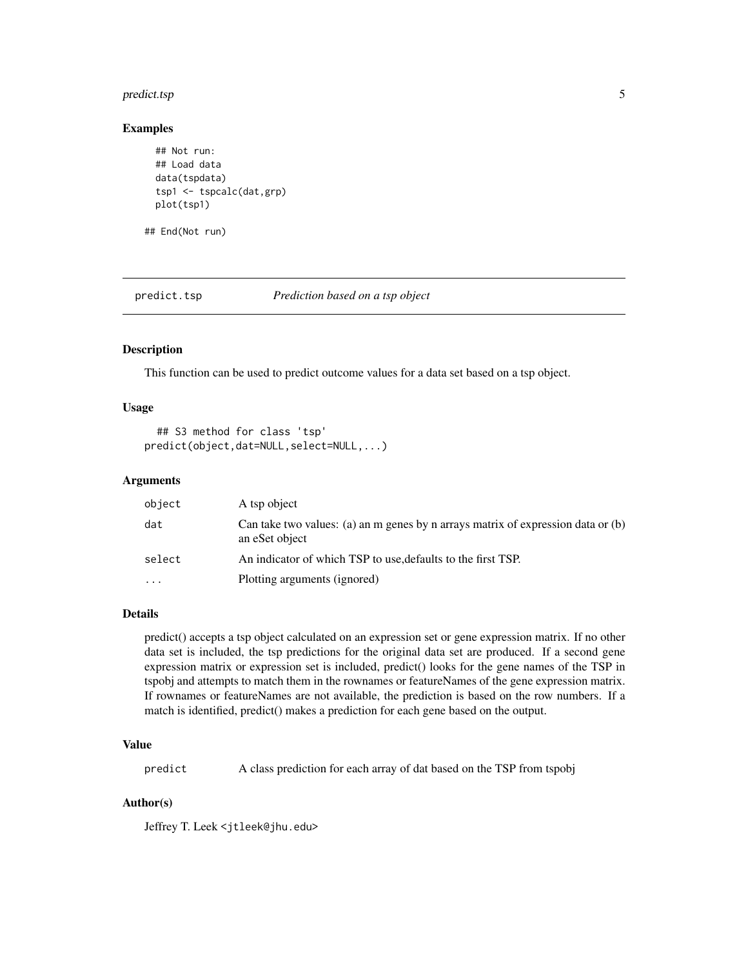#### <span id="page-4-0"></span>predict.tsp 5

#### Examples

```
## Not run:
## Load data
data(tspdata)
tsp1 <- tspcalc(dat,grp)
plot(tsp1)
```
## End(Not run)

<span id="page-4-1"></span>predict.tsp *Prediction based on a tsp object*

#### Description

This function can be used to predict outcome values for a data set based on a tsp object.

#### Usage

```
## S3 method for class 'tsp'
predict(object,dat=NULL,select=NULL,...)
```
#### Arguments

| object   | A tsp object                                                                                       |
|----------|----------------------------------------------------------------------------------------------------|
| dat      | Can take two values: (a) an m genes by n arrays matrix of expression data or (b)<br>an eSet object |
| select   | An indicator of which TSP to use, defaults to the first TSP.                                       |
| $\cdots$ | Plotting arguments (ignored)                                                                       |

#### Details

predict() accepts a tsp object calculated on an expression set or gene expression matrix. If no other data set is included, the tsp predictions for the original data set are produced. If a second gene expression matrix or expression set is included, predict() looks for the gene names of the TSP in tspobj and attempts to match them in the rownames or featureNames of the gene expression matrix. If rownames or featureNames are not available, the prediction is based on the row numbers. If a match is identified, predict() makes a prediction for each gene based on the output.

#### Value

predict A class prediction for each array of dat based on the TSP from tspobj

#### Author(s)

Jeffrey T. Leek <jtleek@jhu.edu>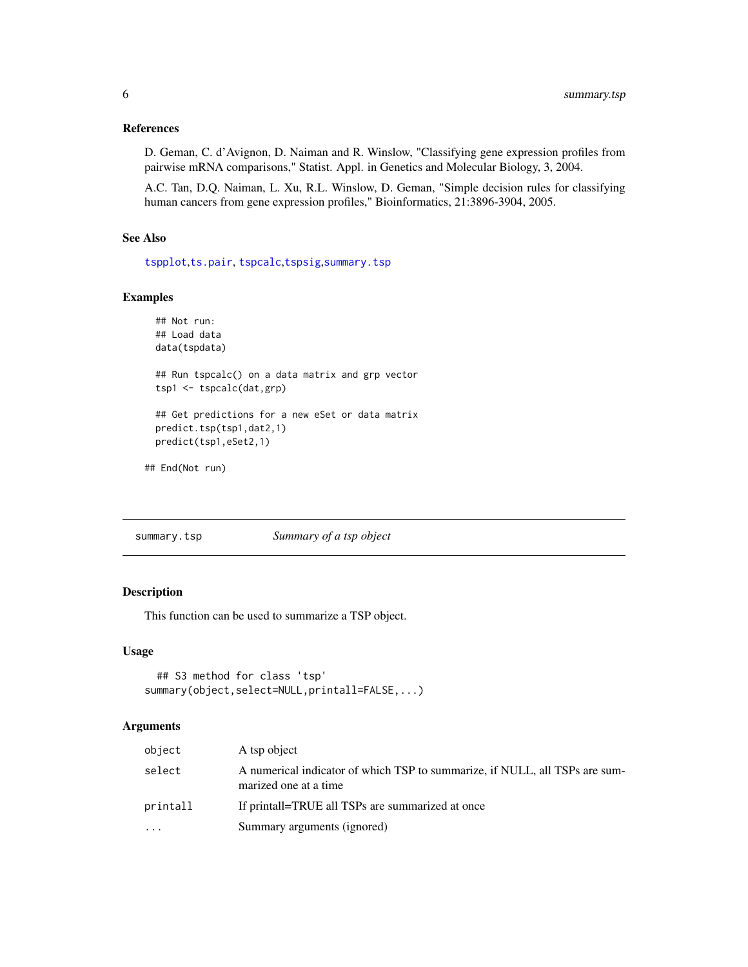#### <span id="page-5-0"></span>References

D. Geman, C. d'Avignon, D. Naiman and R. Winslow, "Classifying gene expression profiles from pairwise mRNA comparisons," Statist. Appl. in Genetics and Molecular Biology, 3, 2004.

A.C. Tan, D.Q. Naiman, L. Xu, R.L. Winslow, D. Geman, "Simple decision rules for classifying human cancers from gene expression profiles," Bioinformatics, 21:3896-3904, 2005.

#### See Also

[tspplot](#page-10-1),[ts.pair](#page-6-1), [tspcalc](#page-8-1),[tspsig](#page-11-1),[summary.tsp](#page-5-1)

#### Examples

```
## Not run:
## Load data
data(tspdata)
## Run tspcalc() on a data matrix and grp vector
tsp1 <- tspcalc(dat,grp)
## Get predictions for a new eSet or data matrix
predict.tsp(tsp1,dat2,1)
predict(tsp1,eSet2,1)
```
## End(Not run)

<span id="page-5-1"></span>summary.tsp *Summary of a tsp object*

#### Description

This function can be used to summarize a TSP object.

#### Usage

```
## S3 method for class 'tsp'
summary(object,select=NULL,printall=FALSE,...)
```
#### Arguments

| object   | A tsp object                                                                                         |
|----------|------------------------------------------------------------------------------------------------------|
| select   | A numerical indicator of which TSP to summarize, if NULL, all TSPs are sum-<br>marized one at a time |
| printall | If printall=TRUE all TSPs are summarized at once                                                     |
| .        | Summary arguments (ignored)                                                                          |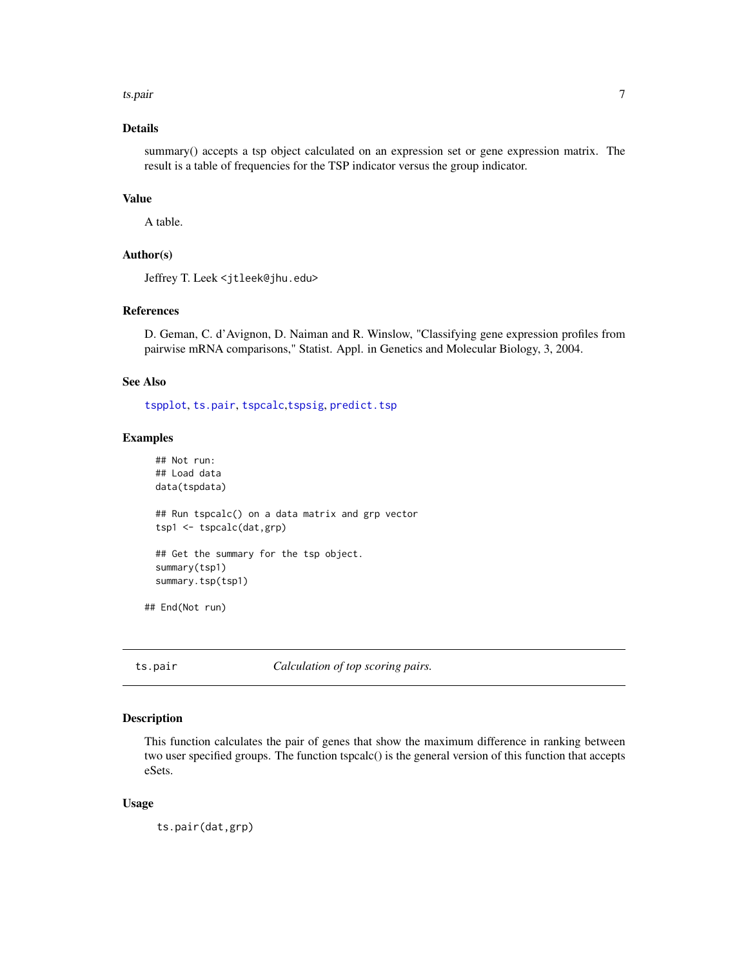<span id="page-6-0"></span>ts.pair 7

#### Details

summary() accepts a tsp object calculated on an expression set or gene expression matrix. The result is a table of frequencies for the TSP indicator versus the group indicator.

#### Value

A table.

#### Author(s)

Jeffrey T. Leek <jtleek@jhu.edu>

#### References

D. Geman, C. d'Avignon, D. Naiman and R. Winslow, "Classifying gene expression profiles from pairwise mRNA comparisons," Statist. Appl. in Genetics and Molecular Biology, 3, 2004.

#### See Also

[tspplot](#page-10-1), [ts.pair](#page-6-1), [tspcalc](#page-8-1),[tspsig](#page-11-1), [predict.tsp](#page-4-1)

#### Examples

```
## Not run:
 ## Load data
 data(tspdata)
 ## Run tspcalc() on a data matrix and grp vector
 tsp1 <- tspcalc(dat,grp)
 ## Get the summary for the tsp object.
 summary(tsp1)
 summary.tsp(tsp1)
## End(Not run)
```
<span id="page-6-1"></span>

ts.pair *Calculation of top scoring pairs.*

#### Description

This function calculates the pair of genes that show the maximum difference in ranking between two user specified groups. The function tspcalc() is the general version of this function that accepts eSets.

#### Usage

ts.pair(dat,grp)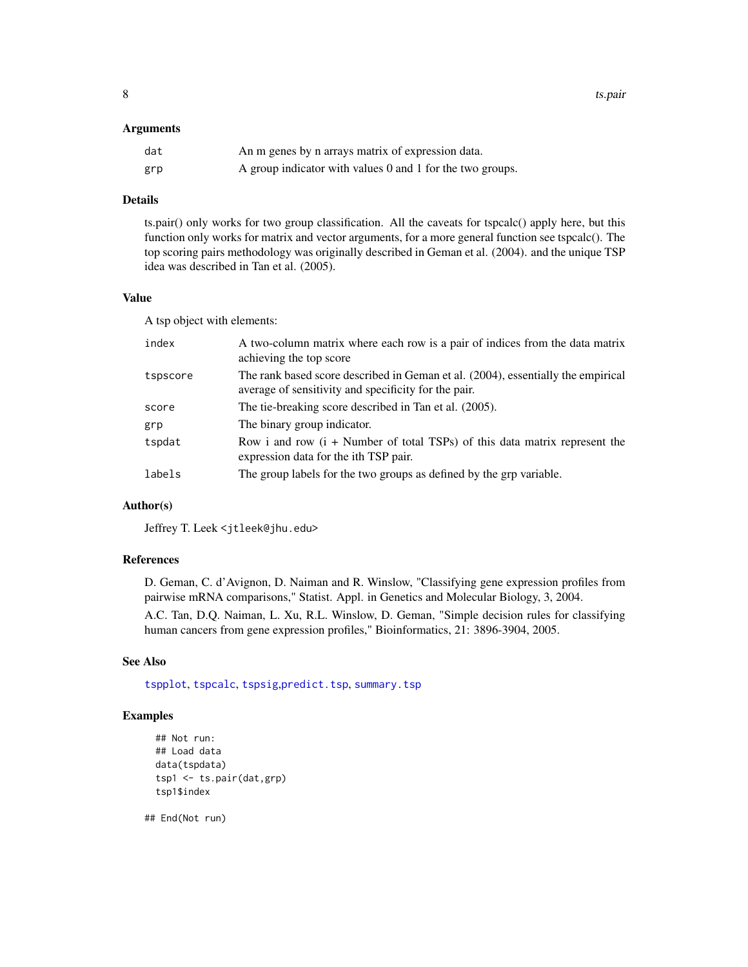<span id="page-7-0"></span>8 ts.pair

#### **Arguments**

| dat | An m genes by n arrays matrix of expression data.         |
|-----|-----------------------------------------------------------|
| grp | A group indicator with values 0 and 1 for the two groups. |

#### Details

ts.pair() only works for two group classification. All the caveats for tspcalc() apply here, but this function only works for matrix and vector arguments, for a more general function see tspcalc(). The top scoring pairs methodology was originally described in Geman et al. (2004). and the unique TSP idea was described in Tan et al. (2005).

#### Value

A tsp object with elements:

| index    | A two-column matrix where each row is a pair of indices from the data matrix<br>achieving the top score                                  |
|----------|------------------------------------------------------------------------------------------------------------------------------------------|
| tspscore | The rank based score described in Geman et al. (2004), essentially the empirical<br>average of sensitivity and specificity for the pair. |
| score    | The tie-breaking score described in Tan et al. (2005).                                                                                   |
| grp      | The binary group indicator.                                                                                                              |
| tspdat   | Row i and row $(i +$ Number of total TSPs) of this data matrix represent the<br>expression data for the ith TSP pair.                    |
| labels   | The group labels for the two groups as defined by the grp variable.                                                                      |

#### Author(s)

Jeffrey T. Leek <jtleek@jhu.edu>

#### References

D. Geman, C. d'Avignon, D. Naiman and R. Winslow, "Classifying gene expression profiles from pairwise mRNA comparisons," Statist. Appl. in Genetics and Molecular Biology, 3, 2004.

A.C. Tan, D.Q. Naiman, L. Xu, R.L. Winslow, D. Geman, "Simple decision rules for classifying human cancers from gene expression profiles," Bioinformatics, 21: 3896-3904, 2005.

#### See Also

[tspplot](#page-10-1), [tspcalc](#page-8-1), [tspsig](#page-11-1),[predict.tsp](#page-4-1), [summary.tsp](#page-5-1)

#### Examples

```
## Not run:
## Load data
data(tspdata)
tsp1 <- ts.pair(dat,grp)
tsp1$index
```
## End(Not run)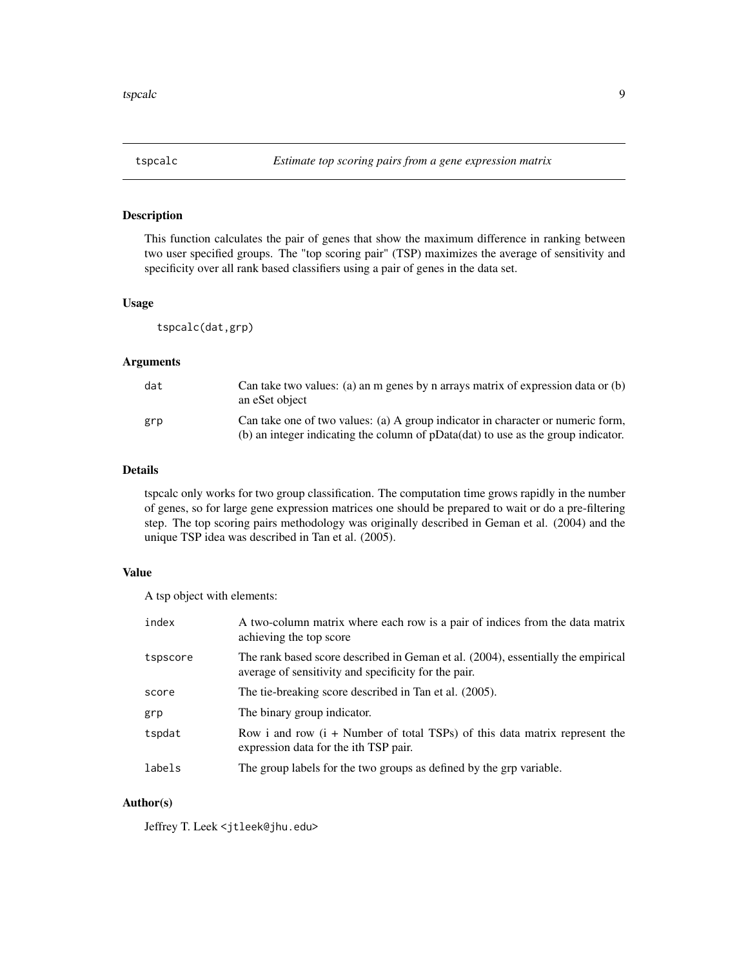<span id="page-8-1"></span><span id="page-8-0"></span>

This function calculates the pair of genes that show the maximum difference in ranking between two user specified groups. The "top scoring pair" (TSP) maximizes the average of sensitivity and specificity over all rank based classifiers using a pair of genes in the data set.

#### Usage

tspcalc(dat,grp)

#### Arguments

| dat | Can take two values: (a) an m genes by n arrays matrix of expression data or $(b)$<br>an eSet object                                                                 |
|-----|----------------------------------------------------------------------------------------------------------------------------------------------------------------------|
| grp | Can take one of two values: (a) A group indicator in character or numeric form,<br>(b) an integer indicating the column of pData(dat) to use as the group indicator. |

#### Details

tspcalc only works for two group classification. The computation time grows rapidly in the number of genes, so for large gene expression matrices one should be prepared to wait or do a pre-filtering step. The top scoring pairs methodology was originally described in Geman et al. (2004) and the unique TSP idea was described in Tan et al. (2005).

#### Value

A tsp object with elements:

| index    | A two-column matrix where each row is a pair of indices from the data matrix<br>achieving the top score                                  |
|----------|------------------------------------------------------------------------------------------------------------------------------------------|
| tspscore | The rank based score described in Geman et al. (2004), essentially the empirical<br>average of sensitivity and specificity for the pair. |
| score    | The tie-breaking score described in Tan et al. (2005).                                                                                   |
| grp      | The binary group indicator.                                                                                                              |
| tspdat   | Row i and row $(i +$ Number of total TSPs) of this data matrix represent the<br>expression data for the ith TSP pair.                    |
| labels   | The group labels for the two groups as defined by the grp variable.                                                                      |

#### Author(s)

Jeffrey T. Leek <jtleek@jhu.edu>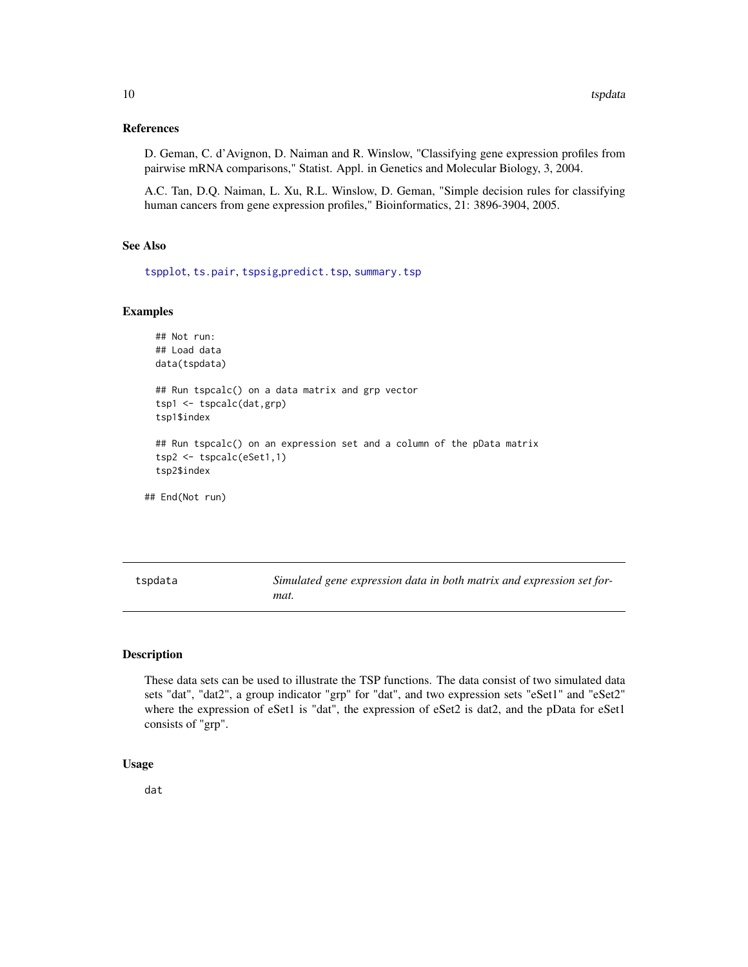#### <span id="page-9-0"></span>References

D. Geman, C. d'Avignon, D. Naiman and R. Winslow, "Classifying gene expression profiles from pairwise mRNA comparisons," Statist. Appl. in Genetics and Molecular Biology, 3, 2004.

A.C. Tan, D.Q. Naiman, L. Xu, R.L. Winslow, D. Geman, "Simple decision rules for classifying human cancers from gene expression profiles," Bioinformatics, 21: 3896-3904, 2005.

#### See Also

[tspplot](#page-10-1), [ts.pair](#page-6-1), [tspsig](#page-11-1),[predict.tsp](#page-4-1), [summary.tsp](#page-5-1)

#### Examples

```
## Not run:
 ## Load data
 data(tspdata)
 ## Run tspcalc() on a data matrix and grp vector
 tsp1 <- tspcalc(dat,grp)
 tsp1$index
 ## Run tspcalc() on an expression set and a column of the pData matrix
 tsp2 <- tspcalc(eSet1,1)
 tsp2$index
## End(Not run)
```
tspdata *Simulated gene expression data in both matrix and expression set format.*

#### Description

These data sets can be used to illustrate the TSP functions. The data consist of two simulated data sets "dat", "dat2", a group indicator "grp" for "dat", and two expression sets "eSet1" and "eSet2" where the expression of eSet1 is "dat", the expression of eSet2 is dat2, and the pData for eSet1 consists of "grp".

#### Usage

dat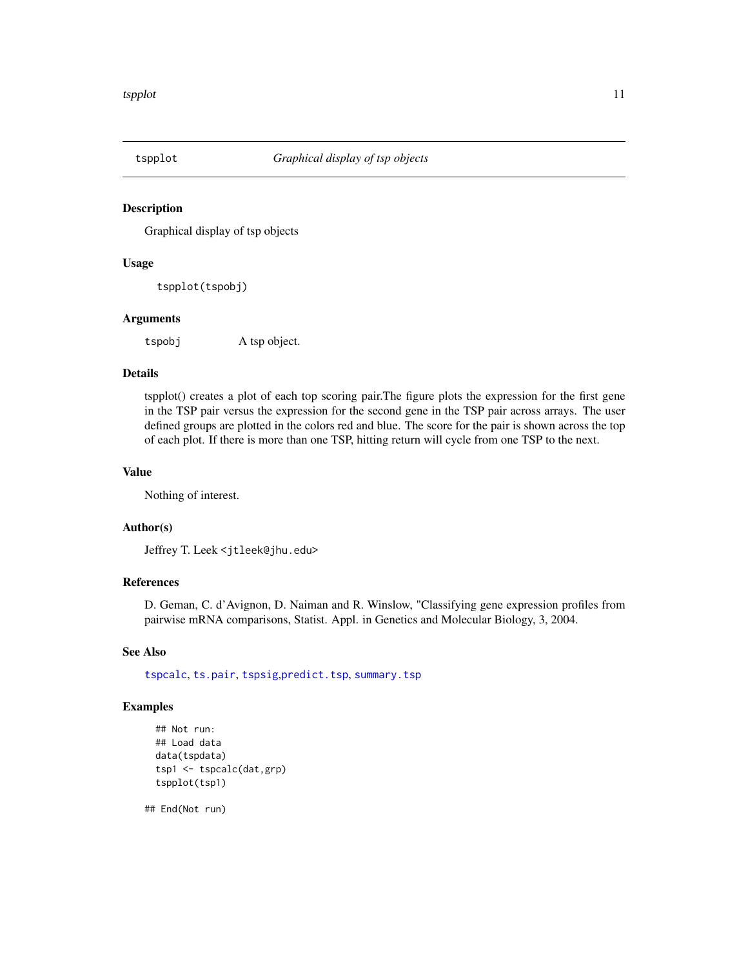<span id="page-10-1"></span><span id="page-10-0"></span>

Graphical display of tsp objects

#### Usage

tspplot(tspobj)

#### Arguments

tspobj A tsp object.

#### Details

tspplot() creates a plot of each top scoring pair.The figure plots the expression for the first gene in the TSP pair versus the expression for the second gene in the TSP pair across arrays. The user defined groups are plotted in the colors red and blue. The score for the pair is shown across the top of each plot. If there is more than one TSP, hitting return will cycle from one TSP to the next.

#### Value

Nothing of interest.

#### Author(s)

Jeffrey T. Leek <jtleek@jhu.edu>

#### References

D. Geman, C. d'Avignon, D. Naiman and R. Winslow, "Classifying gene expression profiles from pairwise mRNA comparisons, Statist. Appl. in Genetics and Molecular Biology, 3, 2004.

#### See Also

[tspcalc](#page-8-1), [ts.pair](#page-6-1), [tspsig](#page-11-1),[predict.tsp](#page-4-1), [summary.tsp](#page-5-1)

#### Examples

```
## Not run:
## Load data
data(tspdata)
tsp1 <- tspcalc(dat,grp)
tspplot(tsp1)
```
## End(Not run)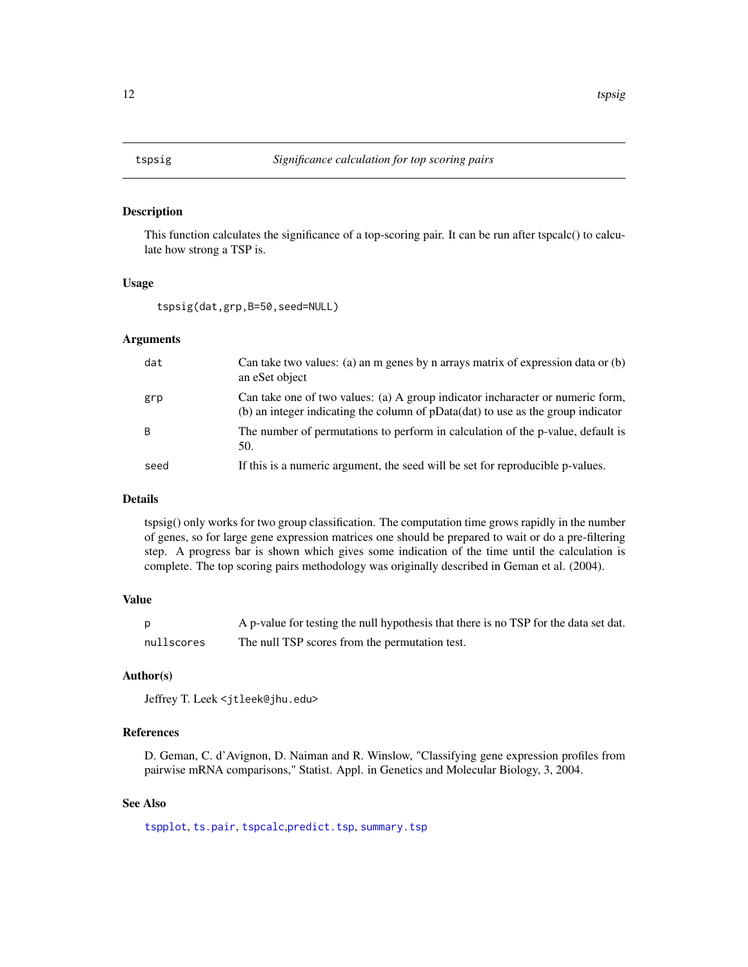<span id="page-11-1"></span><span id="page-11-0"></span>

This function calculates the significance of a top-scoring pair. It can be run after tspcalc() to calculate how strong a TSP is.

#### Usage

tspsig(dat,grp,B=50,seed=NULL)

#### Arguments

| dat  | Can take two values: (a) an m genes by n arrays matrix of expression data or $(b)$<br>an eSet object                                                               |
|------|--------------------------------------------------------------------------------------------------------------------------------------------------------------------|
| grp  | Can take one of two values: (a) A group indicator incharacter or numeric form,<br>(b) an integer indicating the column of pData(dat) to use as the group indicator |
| B    | The number of permutations to perform in calculation of the p-value, default is<br>50.                                                                             |
| seed | If this is a numeric argument, the seed will be set for reproducible p-values.                                                                                     |

#### Details

tspsig() only works for two group classification. The computation time grows rapidly in the number of genes, so for large gene expression matrices one should be prepared to wait or do a pre-filtering step. A progress bar is shown which gives some indication of the time until the calculation is complete. The top scoring pairs methodology was originally described in Geman et al. (2004).

#### Value

|            | A p-value for testing the null hypothesis that there is no TSP for the data set dat. |
|------------|--------------------------------------------------------------------------------------|
| nullscores | The null TSP scores from the permutation test.                                       |

#### Author(s)

Jeffrey T. Leek <jtleek@jhu.edu>

#### References

D. Geman, C. d'Avignon, D. Naiman and R. Winslow, "Classifying gene expression profiles from pairwise mRNA comparisons," Statist. Appl. in Genetics and Molecular Biology, 3, 2004.

#### See Also

[tspplot](#page-10-1), [ts.pair](#page-6-1), [tspcalc](#page-8-1),[predict.tsp](#page-4-1), [summary.tsp](#page-5-1)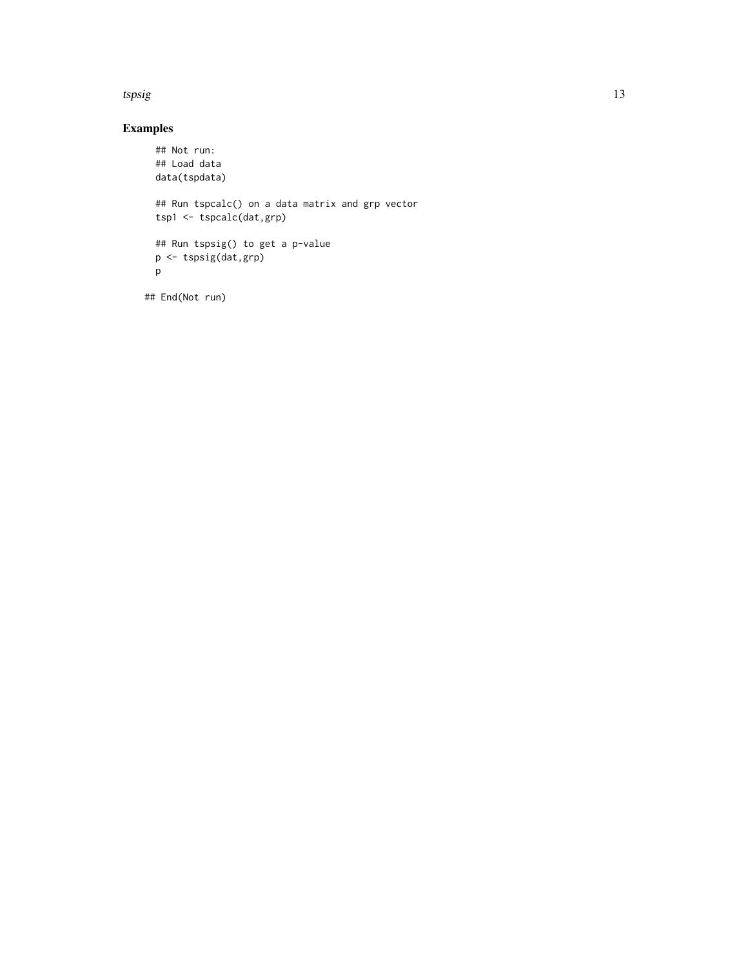#### tspsig the control of the control of the control of the control of the control of the control of the control of the control of the control of the control of the control of the control of the control of the control of the c

#### Examples

```
## Not run:
 ## Load data
 data(tspdata)
 ## Run tspcalc() on a data matrix and grp vector
 tsp1 <- tspcalc(dat,grp)
 ## Run tspsig() to get a p-value
 p <- tspsig(dat,grp)
 p
## End(Not run)
```